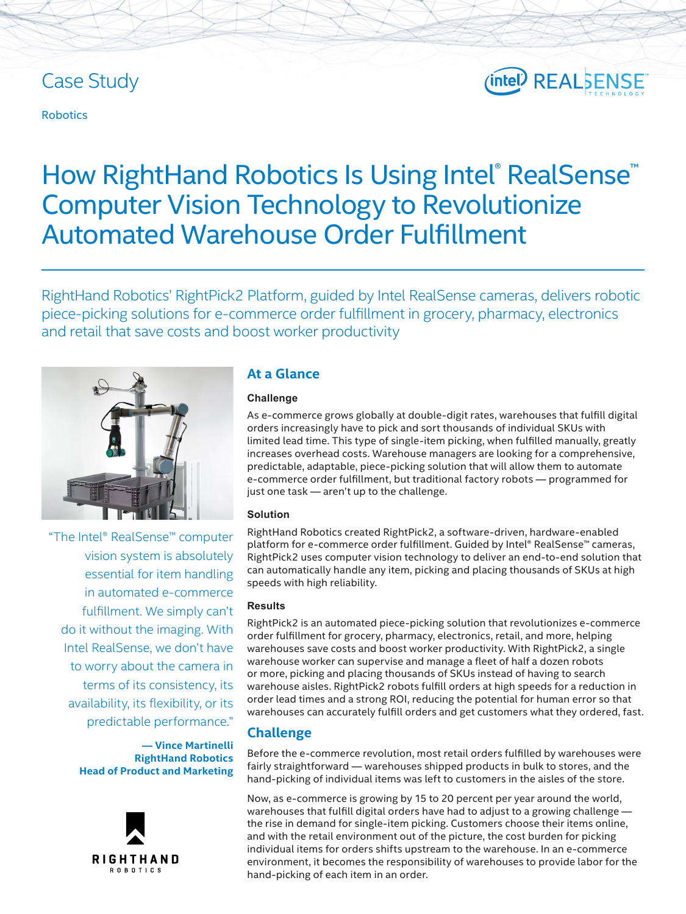# Case Study

#### Robotics

# (intel) REALSENSE

# How RightHand Robotics Is Using Intel® RealSense™ Computer Vision Technology to Revolutionize Automated Warehouse Order Fulfillment

RightHand Robotics' RightPick2 Platform, guided by Intel RealSense cameras, delivers robotic piece-picking solutions for e-commerce order fulfillment in grocery, pharmacy, electronics and retail that save costs and boost worker productivity



"The Intel® RealSense™ computer vision system is absolutely essential for item handling in automated e-commerce fulfillment. We simply can't do it without the imaging. With Intel RealSense, we don't have to worry about the camera in terms of its consistency, its availability, its flexibility, or its predictable performance."

> **— Vince Martinelli RightHand Robotics Head of Product and Marketing**



# **At a Glance**

#### **Challenge**

As e-commerce grows globally at double-digit rates, warehouses that fulfill digital orders increasingly have to pick and sort thousands of individual SKUs with limited lead time. This type of single-item picking, when fulfilled manually, greatly increases overhead costs. Warehouse managers are looking for a comprehensive, predictable, adaptable, piece-picking solution that will allow them to automate e-commerce order fulfillment, but traditional factory robots — programmed for just one task - aren't up to the challenge.

#### **Solution**

RightHand Robotics created RightPick2, a software-driven, hardware-enabled platform for e-commerce order fulfillment. Guided by Intel® RealSense™ cameras, RightPick2 uses computer vision technology to deliver an end-to-end solution that can automatically handle any item, picking and placing thousands of SKUs at high speeds with high reliability.

#### **Results**

RightPick2 is an automated piece-picking solution that revolutionizes e-commerce order fulfillment for grocery, pharmacy, electronics, retail, and more, helping warehouses save costs and boost worker productivity. With RightPick2, a single warehouse worker can supervise and manage a fleet of half a dozen robots or more, picking and placing thousands of SKUs instead of having to search warehouse aisles. RightPick2 robots fulfill orders at high speeds for a reduction in order lead times and a strong ROI, reducing the potential for human error so that warehouses can accurately fulfill orders and get customers what they ordered, fast.

# **Challenge**

Before the e-commerce revolution, most retail orders fulfilled by warehouses were fairly straightforward — warehouses shipped products in bulk to stores, and the hand-picking of individual items was left to customers in the aisles of the store.

Now, as e-commerce is growing by 15 to 20 percent per year around the world, warehouses that fulfill digital orders have had to adjust to a growing challenge the rise in demand for single-item picking. Customers choose their items online, and with the retail environment out of the picture, the cost burden for picking individual items for orders shifts upstream to the warehouse. In an e-commerce environment, it becomes the responsibility of warehouses to provide labor for the hand-picking of each item in an order.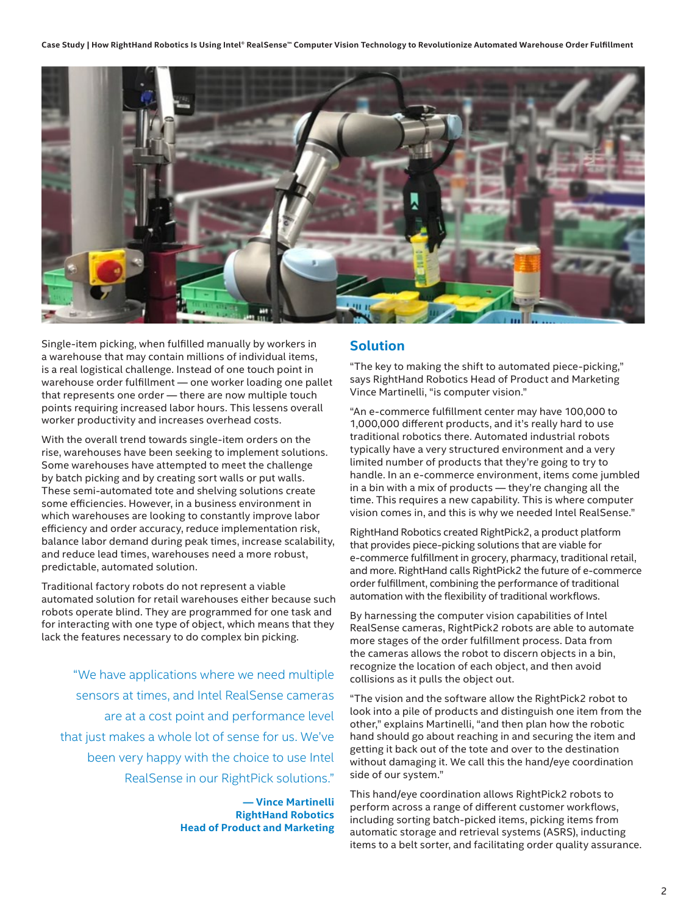

Single-item picking, when fulfilled manually by workers in a warehouse that may contain millions of individual items, is a real logistical challenge. Instead of one touch point in warehouse order fulfillment — one worker loading one pallet that represents one order — there are now multiple touch points requiring increased labor hours. This lessens overall worker productivity and increases overhead costs.

With the overall trend towards single-item orders on the rise, warehouses have been seeking to implement solutions. Some warehouses have attempted to meet the challenge by batch picking and by creating sort walls or put walls. These semi-automated tote and shelving solutions create some efficiencies. However, in a business environment in which warehouses are looking to constantly improve labor efficiency and order accuracy, reduce implementation risk, balance labor demand during peak times, increase scalability, and reduce lead times, warehouses need a more robust, predictable, automated solution.

Traditional factory robots do not represent a viable automated solution for retail warehouses either because such robots operate blind. They are programmed for one task and for interacting with one type of object, which means that they lack the features necessary to do complex bin picking.

"We have applications where we need multiple sensors at times, and Intel RealSense cameras are at a cost point and performance level that just makes a whole lot of sense for us. We've been very happy with the choice to use Intel RealSense in our RightPick solutions."

> **— Vince Martinelli RightHand Robotics Head of Product and Marketing**

### **Solution**

"The key to making the shift to automated piece-picking," says RightHand Robotics Head of Product and Marketing Vince Martinelli, "is computer vision."

"An e-commerce fulfillment center may have 100,000 to 1,000,000 different products, and it's really hard to use traditional robotics there. Automated industrial robots typically have a very structured environment and a very limited number of products that they're going to try to handle. In an e-commerce environment, items come jumbled in a bin with a mix of products — they're changing all the time. This requires a new capability. This is where computer vision comes in, and this is why we needed Intel RealSense."

RightHand Robotics created RightPick2, a product platform that provides piece-picking solutions that are viable for e-commerce fulfillment in grocery, pharmacy, traditional retail, and more. RightHand calls RightPick2 the future of e-commerce order fulfillment, combining the performance of traditional automation with the flexibility of traditional workflows.

By harnessing the computer vision capabilities of Intel RealSense cameras, RightPick2 robots are able to automate more stages of the order fulfillment process. Data from the cameras allows the robot to discern objects in a bin, recognize the location of each object, and then avoid collisions as it pulls the object out.

"The vision and the software allow the RightPick2 robot to look into a pile of products and distinguish one item from the other," explains Martinelli, "and then plan how the robotic hand should go about reaching in and securing the item and getting it back out of the tote and over to the destination without damaging it. We call this the hand/eye coordination side of our system."

This hand/eye coordination allows RightPick2 robots to perform across a range of different customer workflows, including sorting batch-picked items, picking items from automatic storage and retrieval systems (ASRS), inducting items to a belt sorter, and facilitating order quality assurance.